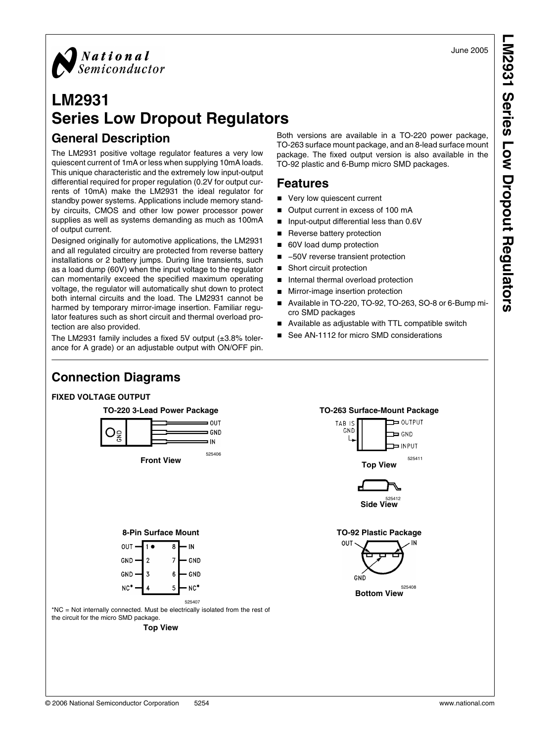June 2005

**LM2931 Series Low Dropout Regulators**M2931 Series Low Dropout Regulators



## **LM2931 Series Low Dropout Regulators**

#### **General Description**

The LM2931 positive voltage regulator features a very low quiescent current of 1mA or less when supplying 10mA loads. This unique characteristic and the extremely low input-output differential required for proper regulation (0.2V for output currents of 10mA) make the LM2931 the ideal regulator for standby power systems. Applications include memory standby circuits, CMOS and other low power processor power supplies as well as systems demanding as much as 100mA of output current.

Designed originally for automotive applications, the LM2931 and all regulated circuitry are protected from reverse battery installations or 2 battery jumps. During line transients, such as a load dump (60V) when the input voltage to the regulator can momentarily exceed the specified maximum operating voltage, the regulator will automatically shut down to protect both internal circuits and the load. The LM2931 cannot be harmed by temporary mirror-image insertion. Familiar regulator features such as short circuit and thermal overload protection are also provided.

The LM2931 family includes a fixed 5V output (±3.8% tolerance for A grade) or an adjustable output with ON/OFF pin. Both versions are available in a TO-220 power package, TO-263 surface mount package, and an 8-lead surface mount package. The fixed output version is also available in the TO-92 plastic and 6-Bump micro SMD packages.

#### **Features**

- Very low quiescent current
- Output current in excess of 100 mA
- Input-output differential less than 0.6V
- Reverse battery protection
- 60V load dump protection
- –50V reverse transient protection
- Short circuit protection
- Internal thermal overload protection
- Mirror-image insertion protection
- Available in TO-220, TO-92, TO-263, SO-8 or 6-Bump micro SMD packages
- Available as adjustable with TTL compatible switch
- See AN-1112 for micro SMD considerations

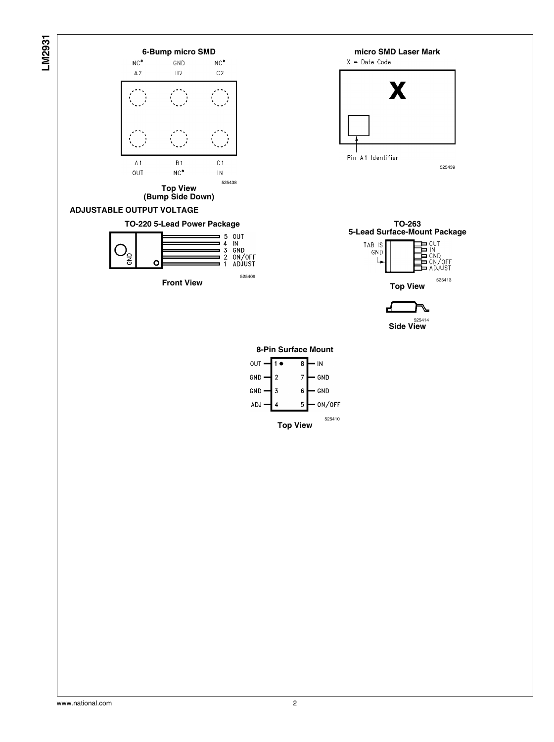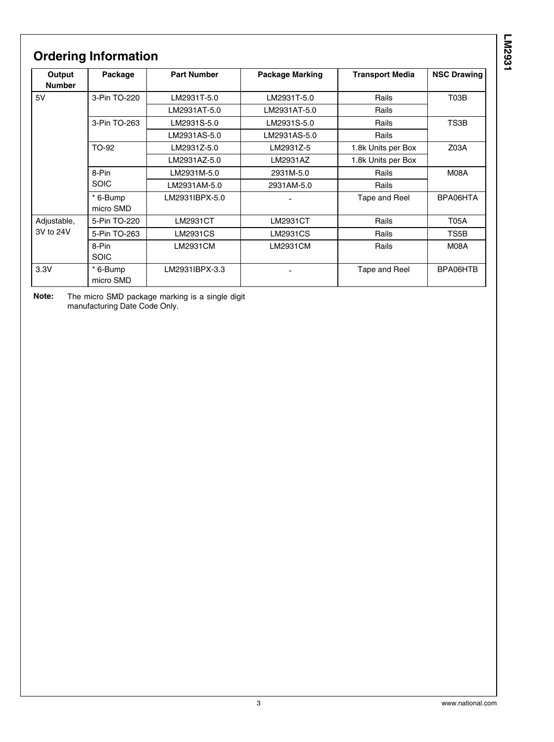## **Ordering Information**

| Output<br><b>Number</b> | Package               | <b>Part Number</b> | <b>Package Marking</b> | <b>Transport Media</b> | <b>NSC Drawing</b> |  |
|-------------------------|-----------------------|--------------------|------------------------|------------------------|--------------------|--|
| 5V                      | 3-Pin TO-220          | LM2931T-5.0        | LM2931T-5.0            | Rails                  | T03B               |  |
|                         |                       | LM2931AT-5.0       | LM2931AT-5.0           | Rails                  |                    |  |
|                         | 3-Pin TO-263          | LM2931S-5.0        | LM2931S-5.0            | Rails                  | TS3B               |  |
|                         |                       | LM2931AS-5.0       | LM2931AS-5.0           | Rails                  |                    |  |
|                         | TO-92                 | LM2931Z-5.0        | LM2931Z-5              | 1.8k Units per Box     | Z03A               |  |
|                         |                       | LM2931AZ-5.0       | LM2931AZ               | 1.8k Units per Box     |                    |  |
|                         | 8-Pin<br><b>SOIC</b>  | LM2931M-5.0        | 2931M-5.0              | Rails                  | M08A               |  |
|                         |                       | LM2931AM-5.0       | 2931AM-5.0             | Rails                  |                    |  |
|                         | * 6-Bump<br>micro SMD | LM2931IBPX-5.0     |                        | Tape and Reel          | BPA06HTA           |  |
| Adjustable,             | 5-Pin TO-220          | LM2931CT           | LM2931CT               | Rails                  | <b>T05A</b>        |  |
| 3V to 24V               | 5-Pin TO-263          | LM2931CS           | LM2931CS               | Rails                  | TS5B               |  |
|                         | 8-Pin<br><b>SOIC</b>  | LM2931CM           | LM2931CM               | Rails                  | M08A               |  |
| 3.3V                    | * 6-Bump<br>micro SMD | LM2931IBPX-3.3     |                        | Tape and Reel          | BPA06HTB           |  |

**Note:** The micro SMD package marking is a single digit manufacturing Date Code Only.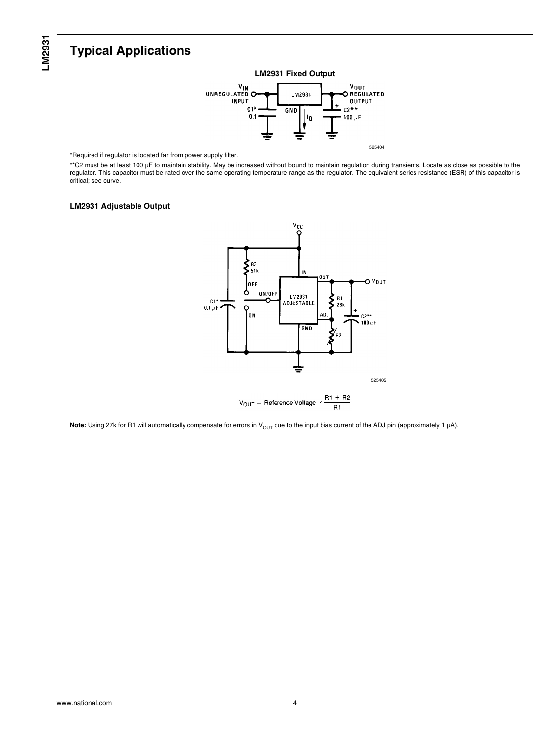## **Typical Applications**



\*Required if regulator is located far from power supply filter.

\*\*C2 must be at least 100 μF to maintain stability. May be increased without bound to maintain regulation during transients. Locate as close as possible to the regulator. This capacitor must be rated over the same operating temperature range as the regulator. The equivalent series resistance (ESR) of this capacitor is critical; see curve.

#### **LM2931 Adjustable Output**





Note: Using 27k for R1 will automatically compensate for errors in V<sub>OUT</sub> due to the input bias current of the ADJ pin (approximately 1 µA).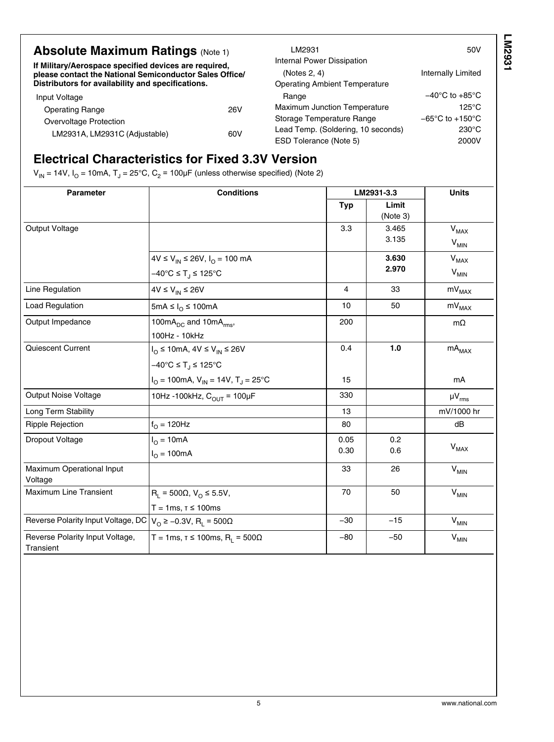| <b>Absolute Maximum Ratings (Note 1)</b><br>If Military/Aerospace specified devices are required,<br>please contact the National Semiconductor Sales Office/<br>Distributors for availability and specifications. |     | LM2931<br>Internal Power Dissipation<br>(Notes 2, 4)<br><b>Operating Ambient Temperature</b> | 50V<br><b>Internally Limited</b>    |
|-------------------------------------------------------------------------------------------------------------------------------------------------------------------------------------------------------------------|-----|----------------------------------------------------------------------------------------------|-------------------------------------|
| Input Voltage                                                                                                                                                                                                     |     | Range                                                                                        | $-40^{\circ}$ C to $+85^{\circ}$ C  |
| <b>Operating Range</b>                                                                                                                                                                                            | 26V | <b>Maximum Junction Temperature</b>                                                          | $125^{\circ}$ C                     |
| Overvoltage Protection                                                                                                                                                                                            |     | Storage Temperature Range                                                                    | $-65^{\circ}$ C to $+150^{\circ}$ C |
| LM2931A, LM2931C (Adjustable)                                                                                                                                                                                     | 60V | Lead Temp. (Soldering, 10 seconds)                                                           | $230^{\circ}$ C                     |
|                                                                                                                                                                                                                   |     | ESD Tolerance (Note 5)                                                                       | 2000V                               |

## **Electrical Characteristics for Fixed 3.3V Version**

V<sub>IN</sub> = 14V, I<sub>O</sub> = 10mA, T<sub>J</sub> = [2](#page-5-0)5°C, C<sub>2</sub> = 100μF (unless otherwise specified) (Note 2)

| Parameter                                                                             | <b>Conditions</b>                                                                                |              | LM2931-3.3        | <b>Units</b>                        |
|---------------------------------------------------------------------------------------|--------------------------------------------------------------------------------------------------|--------------|-------------------|-------------------------------------|
|                                                                                       |                                                                                                  | <b>Typ</b>   | Limit<br>(Note 3) |                                     |
| Output Voltage                                                                        |                                                                                                  | 3.3          | 3.465<br>3.135    | $V_{MAX}$<br>$V_{MIN}$              |
|                                                                                       | 4V ≤ V <sub>IN</sub> ≤ 26V, I <sub>O</sub> = 100 mA<br>$-40^{\circ}$ C ≤ T <sub>.I</sub> ≤ 125°C |              | 3.630<br>2.970    | <b>V<sub>MAX</sub></b><br>$V_{MIN}$ |
| Line Regulation                                                                       | $4V \leq V_{IN} \leq 26V$                                                                        | 4            | 33                | $mV_{MAX}$                          |
| <b>Load Regulation</b>                                                                | 5mA ≤ $I_0$ ≤ 100mA                                                                              | 10           | 50                | $mv_{MAX}$                          |
| Output Impedance                                                                      | 100mA <sub>DC</sub> and 10mA <sub>rms</sub> ,<br>100Hz - 10kHz                                   | 200          |                   | $m\Omega$                           |
| Quiescent Current                                                                     | $I_{\Omega} \le 10$ mA, $4V \le V_{IN} \le 26V$<br>$-40^{\circ}$ C ≤ T <sub>.I</sub> ≤ 125°C     | 0.4          | 1.0               | $\mathsf{mA}_\mathsf{MAX}$          |
|                                                                                       | $I_{\text{O}}$ = 100mA, $V_{\text{IN}}$ = 14V, T <sub>J</sub> = 25 <sup>°</sup> C                | 15           |                   | mA                                  |
| Output Noise Voltage                                                                  | 10Hz -100kHz, $C_{OUT}$ = 100µF                                                                  | 330          |                   | $\mu V_{rms}$                       |
| Long Term Stability                                                                   |                                                                                                  | 13           |                   | mV/1000 hr                          |
| Ripple Rejection                                                                      | $f_{\Omega} = 120$ Hz                                                                            | 80           |                   | dB                                  |
| Dropout Voltage                                                                       | $I_{\Omega} = 10mA$<br>$I_{O} = 100mA$                                                           | 0.05<br>0.30 | 0.2<br>0.6        | $V_{MAX}$                           |
| Maximum Operational Input<br>Voltage                                                  |                                                                                                  | 33           | 26                | $V_{MIN}$                           |
| <b>Maximum Line Transient</b>                                                         | $R_1 = 500\Omega, V_0 \le 5.5V,$<br>$T = 1ms, r \le 100ms$                                       | 70           | 50                | $V_{MIN}$                           |
| Reverse Polarity Input Voltage, DC $ V_{O} \ge -0.3V$ , R <sub>L</sub> = 500 $\Omega$ |                                                                                                  | $-30$        | $-15$             | $V_{MIN}$                           |
| Reverse Polarity Input Voltage,<br>Transient                                          | T = 1ms, $\tau \le 100$ ms, R <sub>1</sub> = 500 $\Omega$                                        | $-80$        | $-50$             | $V_{MIN}$                           |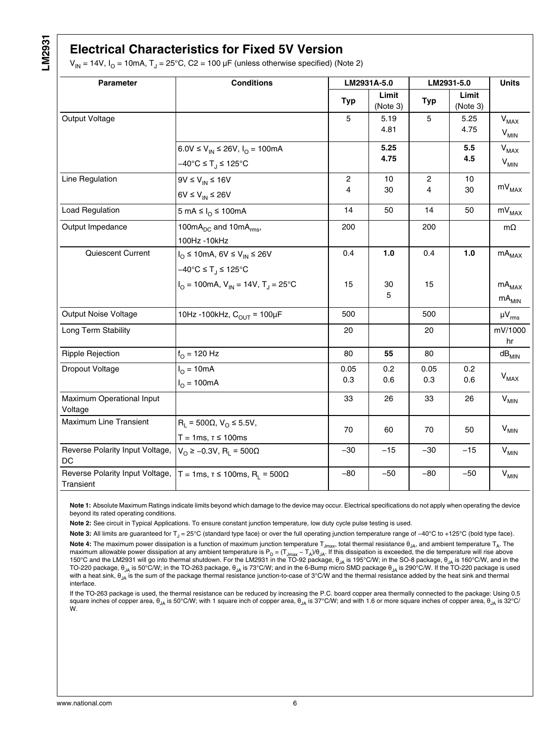#### <span id="page-5-0"></span>**Electrical Characteristics for Fixed 5V Version**

 $V_{\mathsf{IN}}$  = 14V, I<sub>O</sub> = 10mA, T<sub>J</sub> = 25°C, C2 = 100 μF (unless otherwise specified) (Note 2)

| Parameter                                    | <b>Conditions</b>                                                                                  |                     | LM2931A-5.0       |                     | LM2931-5.0        |                                          |
|----------------------------------------------|----------------------------------------------------------------------------------------------------|---------------------|-------------------|---------------------|-------------------|------------------------------------------|
|                                              |                                                                                                    | <b>Typ</b>          | Limit<br>(Note 3) | <b>Typ</b>          | Limit<br>(Note 3) |                                          |
| Output Voltage                               |                                                                                                    | 5                   | 5.19<br>4.81      | 5                   | 5.25<br>4.75      | $V_{MAX}$<br>$V_{MIN}$                   |
|                                              | 6.0V ≤ $V_{IN}$ ≤ 26V, $I_{O}$ = 100mA<br>$-40^{\circ}$ C ≤ T <sub>.1</sub> ≤ 125°C                |                     | 5.25<br>4.75      |                     | 5.5<br>4.5        | $V_{MAX}$<br>$\mathsf{V}_{\mathsf{MIN}}$ |
| Line Regulation                              | $9V \le V_{IN} \le 16V$<br>6V $\leq$ V <sub>IN</sub> $\leq$ 26V                                    | $\overline{c}$<br>4 | 10<br>30          | $\overline{c}$<br>4 | 10<br>30          | $mV_{MAX}$                               |
| <b>Load Regulation</b>                       | 5 mA ≤ $IO$ ≤ 100mA                                                                                | 14                  | 50                | 14                  | 50                | $\rm mV_{MAX}$                           |
| Output Impedance                             | 100 $mA_{DC}$ and 10 $mA_{rms}$ ,<br>100Hz - 10kHz                                                 | 200                 |                   | 200                 |                   | $m\Omega$                                |
| Quiescent Current                            | $I_{\Omega} \le 10$ mA, 6V $\le V_{\text{IN}} \le 26V$<br>$-40^{\circ}$ C ≤ T <sub>J</sub> ≤ 125°C | 0.4                 | 1.0               | 0.4                 | $1.0$             | $mA_{MAX}$                               |
|                                              | $I_{\text{O}}$ = 100mA, $V_{\text{IN}}$ = 14V, T <sub>J</sub> = 25 <sup>o</sup> C                  | 15                  | 30<br>5           | 15                  |                   | $\mathsf{mA}_\mathsf{MAX}$<br>$mA_{MIN}$ |
| <b>Output Noise Voltage</b>                  | 10Hz -100kHz, $C_{OUT}$ = 100µF                                                                    | 500                 |                   | 500                 |                   | $\mu V_{rms}$                            |
| Long Term Stability                          |                                                                                                    | 20                  |                   | 20                  |                   | mV/1000<br>hr                            |
| <b>Ripple Rejection</b>                      | $f_{\Omega}$ = 120 Hz                                                                              | 80                  | 55                | 80                  |                   | $\mathsf{dB}_\mathsf{MIN}$               |
| Dropout Voltage                              | $I_{O} = 10mA$<br>$I_{\Omega}$ = 100mA                                                             | 0.05<br>0.3         | 0.2<br>0.6        | 0.05<br>0.3         | 0.2<br>0.6        | <b>V<sub>MAX</sub></b>                   |
| Maximum Operational Input<br>Voltage         |                                                                                                    | 33                  | 26                | 33                  | 26                | $V_{MIN}$                                |
| <b>Maximum Line Transient</b>                | $R_1 = 500\Omega, V_0 \le 5.5V,$<br>$T = 1ms, r \le 100ms$                                         | 70                  | 60                | 70                  | 50                | $V_{MIN}$                                |
| Reverse Polarity Input Voltage,<br>DC        | $V_$ ≥ –0.3V, R <sub>1</sub> = 500Ω                                                                | $-30$               | $-15$             | $-30$               | $-15$             | $V_{MIN}$                                |
| Reverse Polarity Input Voltage,<br>Transient | T = 1ms, $\tau \le 100$ ms, R <sub>1</sub> = 500 $\Omega$                                          | $-80$               | $-50$             | $-80$               | $-50$             | $\mathsf{V}_{\mathsf{MIN}}$              |

**Note 1:** Absolute Maximum Ratings indicate limits beyond which damage to the device may occur. Electrical specifications do not apply when operating the device beyond its rated operating conditions.

**Note 2:** See circuit in Typical Applications. To ensure constant junction temperature, low duty cycle pulse testing is used.

**Note 3:** All limits are guaranteed for T<sub>J</sub> = 25°C (standard type face) or over the full operating junction temperature range of –40°C to +125°C (bold type face).

Note 4: The maximum power dissipation is a function of maximum junction temperature T<sub>Jmax</sub>, total thermal resistance  $\theta_{\rm JA}$ , and ambient temperature T<sub>A</sub>. The maximum allowable power dissipation at any ambient temperature is P<sub>D</sub> = (T<sub>Jmax</sub> - T<sub>A</sub>)/ $\theta_{\rm JA}$ . If this dissipation is exceeded, the die temperature will rise above 150°C and the LM2931 will go into thermal shutdown. For the LM2931 in the TO-92 package,  $\theta_{JA}$  is 195°C/W; in the SO-8 package,  $\theta_{JA}$  is 160°C/W, and in the TO-220 package, θ<sub>JA</sub> is 50°C/W; in the TO-263 package, θ<sub>JA</sub> is 73°C/W; and in the 6-Bump micro SMD package θ<sub>JA</sub> is 290°C/W. If the TO-220 package is used with a heat sink,  $\theta_{JA}$  is the sum of the package thermal resistance junction-to-case of 3°C/W and the thermal resistance added by the heat sink and thermal interface.

If the TO-263 package is used, the thermal resistance can be reduced by increasing the P.C. board copper area thermally connected to the package: Using 0.5 square inches of copper area,  $\theta_{JA}$  is 50°C/W; with 1 square inch of copper area,  $\theta_{JA}$  is 37°C/W; and with 1.6 or more square inches of copper area,  $\theta_{JA}$  is 32°C/ W.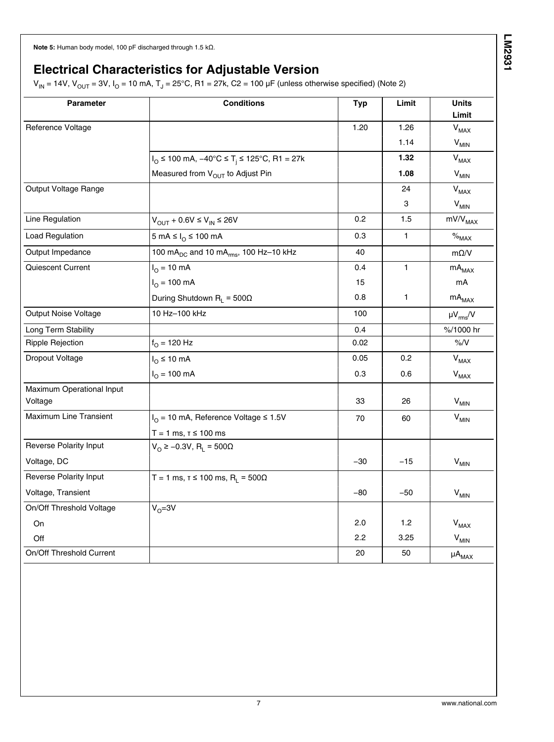<span id="page-6-0"></span>**Note 5:** Human body model, 100 pF discharged through 1.5 kΩ.

#### **Electrical Characteristics for Adjustable Version**

 $\rm V_{IN}$  = 14V,  $\rm V_{OUT}$  = 3V, I $_{\rm O}$  = 10 mA, T $_{\rm J}$  = 25°C, R1 = 27k, C2 = 100 µF (unless otherwise specified) (Note [2\)](#page-5-0)

| <b>Parameter</b>                     | <b>Conditions</b>                                                           | <b>Typ</b> | Limit        | <b>Units</b><br>Limit       |
|--------------------------------------|-----------------------------------------------------------------------------|------------|--------------|-----------------------------|
| Reference Voltage                    |                                                                             | 1.20       | 1.26         | <b>V<sub>MAX</sub></b>      |
|                                      |                                                                             |            | 1.14         | $V_{MIN}$                   |
|                                      | $I_{\text{O}}$ ≤ 100 mA, $-40^{\circ}$ C ≤ T <sub>i</sub> ≤ 125°C, R1 = 27k |            | 1.32         | <b>V<sub>MAX</sub></b>      |
|                                      | Measured from V <sub>OUT</sub> to Adjust Pin                                |            | 1.08         | $V_{MIN}$                   |
| Output Voltage Range                 |                                                                             |            | 24           | $V_{MAX}$                   |
|                                      |                                                                             |            | 3            | $\mathsf{V}_{\mathsf{MIN}}$ |
| Line Regulation                      | $V_{OUT}$ + 0.6V $\leq$ $V_{IN}$ $\leq$ 26V                                 | 0.2        | 1.5          | mV/V <sub>MAX</sub>         |
| <b>Load Regulation</b>               | 5 mA ≤ $I_0$ ≤ 100 mA                                                       | 0.3        | $\mathbf{1}$ | $\%_{\text{MAX}}$           |
| Output Impedance                     | 100 mA <sub>DC</sub> and 10 mA <sub>rms</sub> , 100 Hz-10 kHz               | 40         |              | $m\Omega/V$                 |
| Quiescent Current                    | $I_{\Omega} = 10 \text{ mA}$                                                | 0.4        | $\mathbf{1}$ | $mA_{MAX}$                  |
|                                      | $I_{\Omega} = 100 \text{ mA}$                                               | 15         |              | mA                          |
|                                      | During Shutdown $R_L = 500\Omega$                                           | 0.8        | 1            | $\mathsf{mA}_\mathsf{MAX}$  |
| Output Noise Voltage                 | 10 Hz-100 kHz                                                               | 100        |              | $\mu V_{rms} / V$           |
| Long Term Stability                  |                                                                             | 0.4        |              | %/1000 hr                   |
| <b>Ripple Rejection</b>              | $f_{O}$ = 120 Hz                                                            | 0.02       |              | $\%$ /V                     |
| <b>Dropout Voltage</b>               | $I_{\Omega}$ ≤ 10 mA                                                        | 0.05       | 0.2          | $V_{MAX}$                   |
|                                      | $I_{O} = 100$ mA                                                            | 0.3        | 0.6          | <b>V<sub>MAX</sub></b>      |
| Maximum Operational Input<br>Voltage |                                                                             | 33         | 26           | $V_{MIN}$                   |
| <b>Maximum Line Transient</b>        | $I_{\text{O}} = 10 \text{ mA}$ , Reference Voltage $\leq 1.5 \text{ V}$     | 70         | 60           | $\mathsf{V}_{\mathsf{MIN}}$ |
|                                      | $T = 1$ ms, $T \le 100$ ms                                                  |            |              |                             |
| <b>Reverse Polarity Input</b>        | $VO$ ≥ -0.3V, R <sub>L</sub> = 500Ω                                         |            |              |                             |
| Voltage, DC                          |                                                                             | $-30$      | $-15$        | $V_{MIN}$                   |
| <b>Reverse Polarity Input</b>        | T = 1 ms, $\tau \le 100$ ms, R <sub>L</sub> = 500 $\Omega$                  |            |              |                             |
| Voltage, Transient                   |                                                                             | $-80$      | -50          | $V_{MIN}$                   |
| On/Off Threshold Voltage             | $V_0 = 3V$                                                                  |            |              |                             |
| On                                   |                                                                             | 2.0        | 1.2          | $V_{MAX}$                   |
| Off                                  |                                                                             | 2.2        | 3.25         | $V_{MIN}$                   |
| On/Off Threshold Current             |                                                                             | 20         | 50           | $\mu A_{MAX}$               |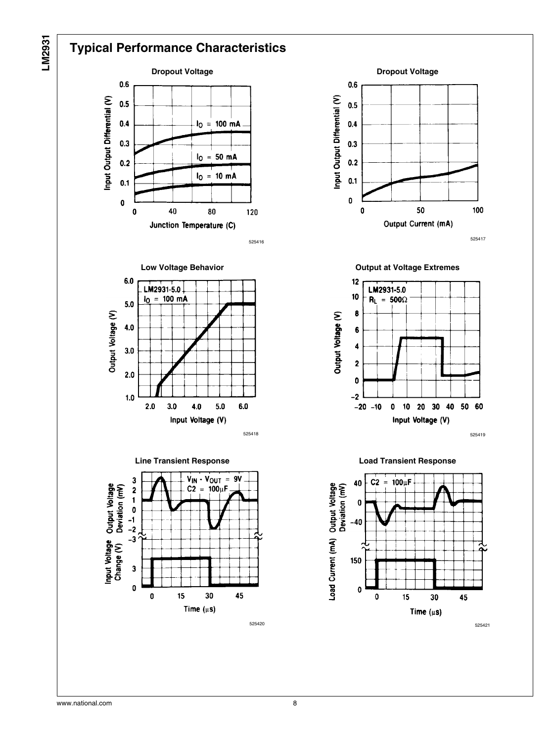

## **Typical Performance Characteristics**



525416





















525421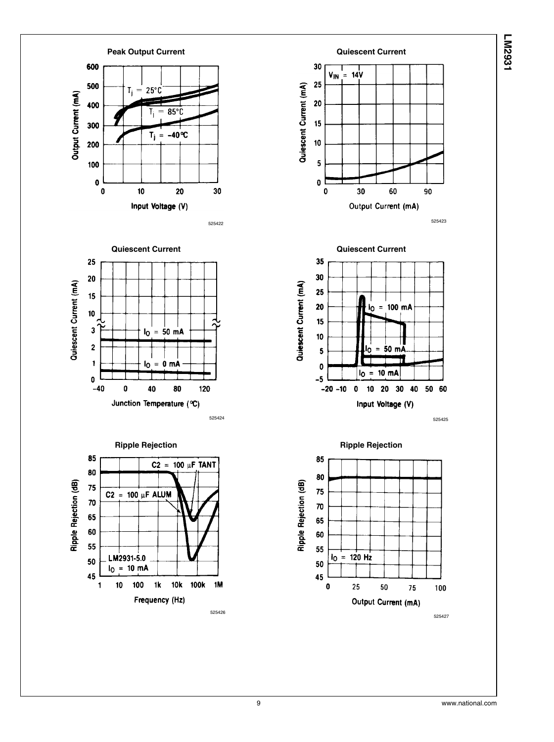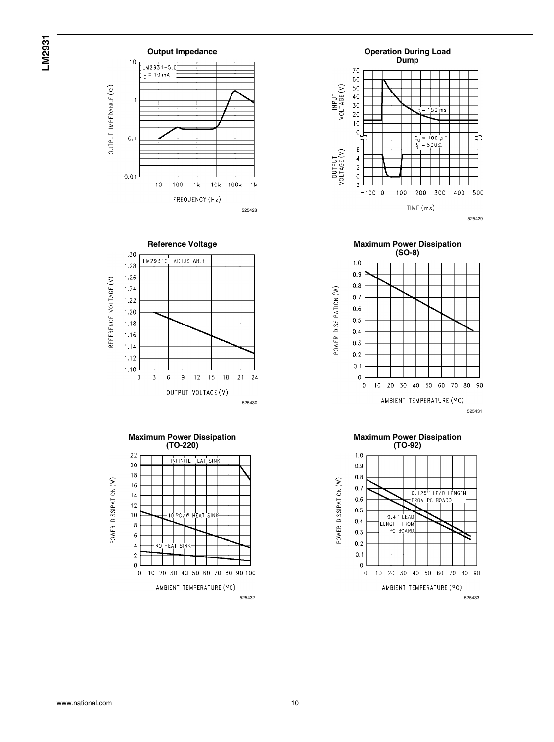







525430





**Maximum Power Dissipation (SO-8)**  $1.0$  $0.9$  $0.8$ POWER DISSIPATION (W)  $0.7$  $0.6$  $0.5$  $0.4$  $0.3$  $0.2$  $0.1$  $\mathbf{0}$ 20 30 40 50 60  $\pmb{0}$  $10\,$ 70 80 90 AMBIENT TEMPERATURE (°C) 525431

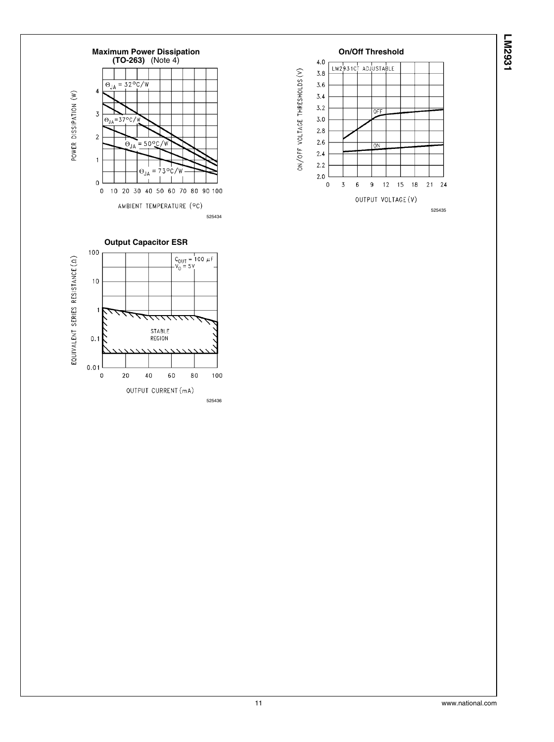





525436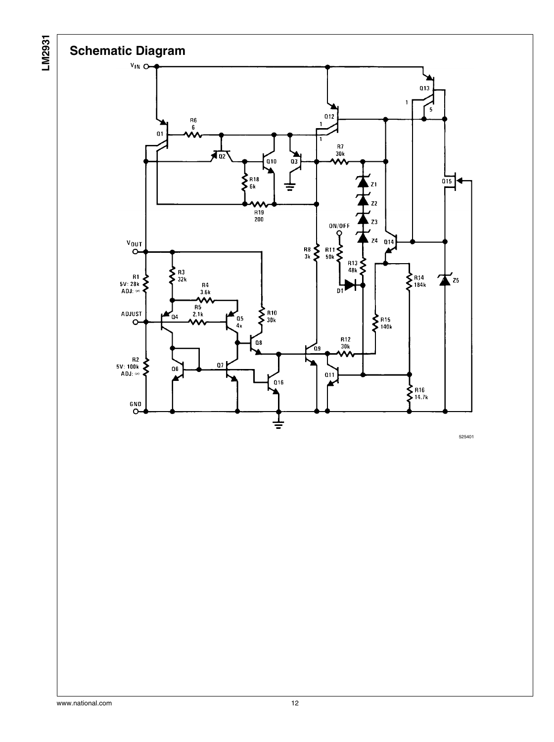

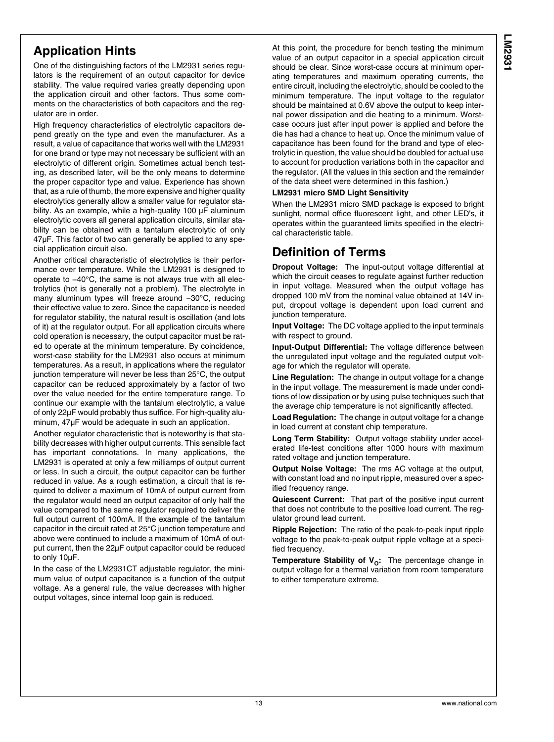## **Application Hints**

One of the distinguishing factors of the LM2931 series regulators is the requirement of an output capacitor for device stability. The value required varies greatly depending upon the application circuit and other factors. Thus some comments on the characteristics of both capacitors and the regulator are in order.

High frequency characteristics of electrolytic capacitors depend greatly on the type and even the manufacturer. As a result, a value of capacitance that works well with the LM2931 for one brand or type may not necessary be sufficient with an electrolytic of different origin. Sometimes actual bench testing, as described later, will be the only means to determine the proper capacitor type and value. Experience has shown that, as a rule of thumb, the more expensive and higher quality electrolytics generally allow a smaller value for regulator stability. As an example, while a high-quality 100 μF aluminum electrolytic covers all general application circuits, similar stability can be obtained with a tantalum electrolytic of only 47μF. This factor of two can generally be applied to any special application circuit also.

Another critical characteristic of electrolytics is their performance over temperature. While the LM2931 is designed to operate to −40°C, the same is not always true with all electrolytics (hot is generally not a problem). The electrolyte in many aluminum types will freeze around −30°C, reducing their effective value to zero. Since the capacitance is needed for regulator stability, the natural result is oscillation (and lots of it) at the regulator output. For all application circuits where cold operation is necessary, the output capacitor must be rated to operate at the minimum temperature. By coincidence, worst-case stability for the LM2931 also occurs at minimum temperatures. As a result, in applications where the regulator junction temperature will never be less than 25°C, the output capacitor can be reduced approximately by a factor of two over the value needed for the entire temperature range. To continue our example with the tantalum electrolytic, a value of only 22μF would probably thus suffice. For high-quality aluminum, 47μF would be adequate in such an application.

Another regulator characteristic that is noteworthy is that stability decreases with higher output currents. This sensible fact has important connotations. In many applications, the LM2931 is operated at only a few milliamps of output current or less. In such a circuit, the output capacitor can be further reduced in value. As a rough estimation, a circuit that is required to deliver a maximum of 10mA of output current from the regulator would need an output capacitor of only half the value compared to the same regulator required to deliver the full output current of 100mA. If the example of the tantalum capacitor in the circuit rated at 25°C junction temperature and above were continued to include a maximum of 10mA of output current, then the 22μF output capacitor could be reduced to only 10μF.

In the case of the LM2931CT adjustable regulator, the minimum value of output capacitance is a function of the output voltage. As a general rule, the value decreases with higher output voltages, since internal loop gain is reduced.

At this point, the procedure for bench testing the minimum value of an output capacitor in a special application circuit should be clear. Since worst-case occurs at minimum operating temperatures and maximum operating currents, the entire circuit, including the electrolytic, should be cooled to the minimum temperature. The input voltage to the regulator should be maintained at 0.6V above the output to keep internal power dissipation and die heating to a minimum. Worstcase occurs just after input power is applied and before the die has had a chance to heat up. Once the minimum value of capacitance has been found for the brand and type of electrolytic in question, the value should be doubled for actual use to account for production variations both in the capacitor and the regulator. (All the values in this section and the remainder of the data sheet were determined in this fashion.)

#### **LM2931 micro SMD Light Sensitivity**

When the LM2931 micro SMD package is exposed to bright sunlight, normal office fluorescent light, and other LED's, it operates within the guaranteed limits specified in the electrical characteristic table.

#### **Definition of Terms**

**Dropout Voltage:** The input-output voltage differential at which the circuit ceases to regulate against further reduction in input voltage. Measured when the output voltage has dropped 100 mV from the nominal value obtained at 14V input, dropout voltage is dependent upon load current and junction temperature.

**Input Voltage:** The DC voltage applied to the input terminals with respect to ground.

**Input-Output Differential:** The voltage difference between the unregulated input voltage and the regulated output voltage for which the regulator will operate.

**Line Regulation:** The change in output voltage for a change in the input voltage. The measurement is made under conditions of low dissipation or by using pulse techniques such that the average chip temperature is not significantly affected.

**Load Regulation:** The change in output voltage for a change in load current at constant chip temperature.

**Long Term Stability:** Output voltage stability under accelerated life-test conditions after 1000 hours with maximum rated voltage and junction temperature.

**Output Noise Voltage:** The rms AC voltage at the output, with constant load and no input ripple, measured over a specified frequency range.

**Quiescent Current:** That part of the positive input current that does not contribute to the positive load current. The regulator ground lead current.

**Ripple Rejection:** The ratio of the peak-to-peak input ripple voltage to the peak-to-peak output ripple voltage at a specified frequency.

**Temperature Stability of V<sub>O</sub>:** The percentage change in output voltage for a thermal variation from room temperature to either temperature extreme.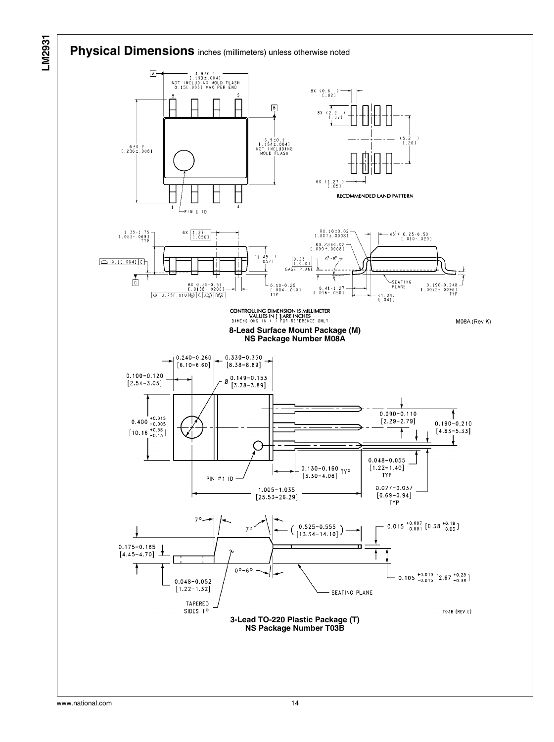#### **Physical Dimensions** inches (millimeters) unless otherwise noted



www.national.com 14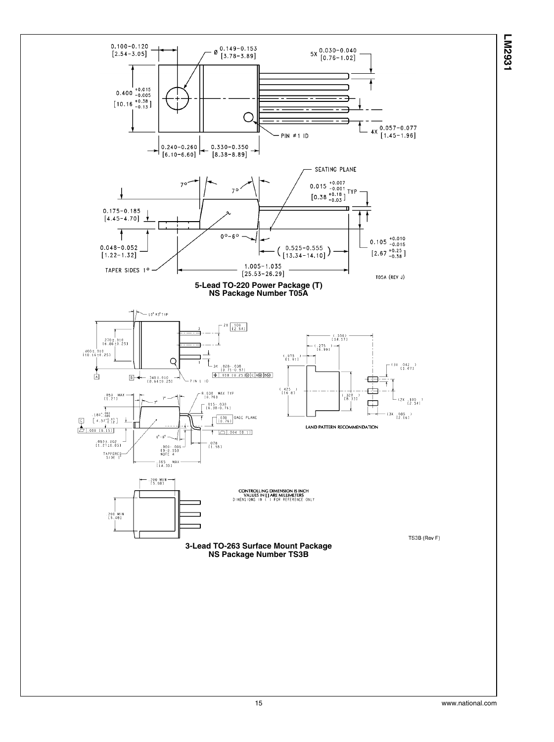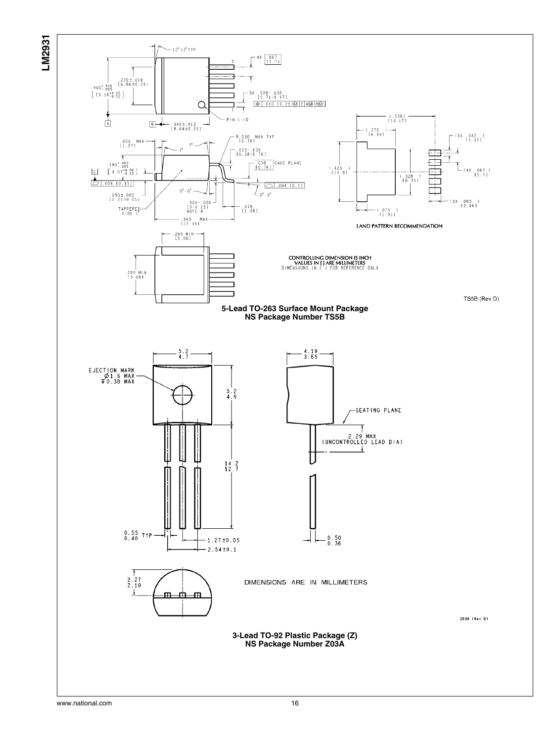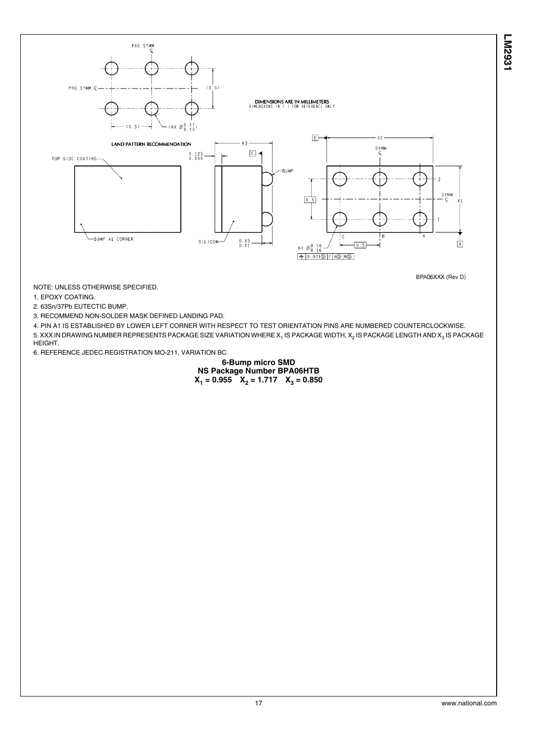PKG SYMM  $(0.5)$ **DIMENSIONS ARE IN MILLIMETERS**<br>DIMENSIONS IN ( ) FOR REFERENCE ONLY  $\emptyset \begin{smallmatrix} 0 & 1 & 7 \\ 0 & 1 & 5 \end{smallmatrix}$  $\boxed{B}$  $Y2$ LAND PATTERN RECOMMENDATION  $S_{\text{C}}^{\text{YMM}}$  $\Box$  $0.125$ <br> $0.050$ **BUMP** SYMM<br>- C  $0.5$ 

> $6x \not\in 0.18$  $0.001 \circ c$  AS BO

-BUMP A1 CORNER

BPA06XXX (Rev D)

 $\overline{A}$ 

**LM2931**

NOTE: UNLESS OTHERWISE SPECIFIED.

1. EPOXY COATING.

2. 63Sn/37Pb EUTECTIC BUMP.

PKG SYMM Q-

TOP SIDE COATING-

3. RECOMMEND NON-SOLDER MASK DEFINED LANDING PAD.

4. PIN A1 IS ESTABLISHED BY LOWER LEFT CORNER WITH RESPECT TO TEST ORIENTATION PINS ARE NUMBERED COUNTERCLOCKWISE. 5. XXX IN DRAWING NUMBER REPRESENTS PACKAGE SIZE VARIATION WHERE X<sub>1</sub> IS PACKAGE WIDTH, X<sub>2</sub> IS PACKAGE LENGTH AND X<sub>3</sub> IS PACKAGE HEIGHT.

 $\begin{array}{c} 0.15 \\ 0.11 \end{array}$ 

 $S/L + COM$ 

6. REFERENCE JEDEC REGISTRATION MO-211, VARIATION BC.

#### **6-Bump micro SMD NS Package Number BPA06HTB**  $X_1 = 0.955$   $X_2 = 1.717$   $X_3 = 0.850$